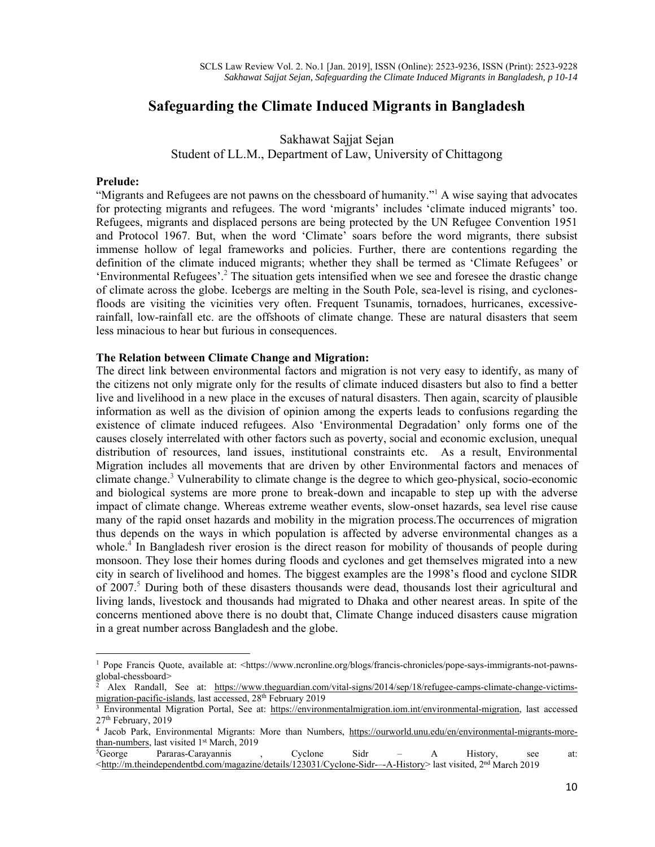# **Safeguarding the Climate Induced Migrants in Bangladesh**

Sakhawat Sajjat Sejan

Student of LL.M., Department of Law, University of Chittagong

#### **Prelude:**

"Migrants and Refugees are not pawns on the chessboard of humanity."<sup>1</sup> A wise saying that advocates for protecting migrants and refugees. The word 'migrants' includes 'climate induced migrants' too. Refugees, migrants and displaced persons are being protected by the UN Refugee Convention 1951 and Protocol 1967. But, when the word 'Climate' soars before the word migrants, there subsist immense hollow of legal frameworks and policies. Further, there are contentions regarding the definition of the climate induced migrants; whether they shall be termed as 'Climate Refugees' or 'Environmental Refugees'.<sup>2</sup> The situation gets intensified when we see and foresee the drastic change of climate across the globe. Icebergs are melting in the South Pole, sea-level is rising, and cyclonesfloods are visiting the vicinities very often. Frequent Tsunamis, tornadoes, hurricanes, excessiverainfall, low-rainfall etc. are the offshoots of climate change. These are natural disasters that seem less minacious to hear but furious in consequences.

#### **The Relation between Climate Change and Migration:**

The direct link between environmental factors and migration is not very easy to identify, as many of the citizens not only migrate only for the results of climate induced disasters but also to find a better live and livelihood in a new place in the excuses of natural disasters. Then again, scarcity of plausible information as well as the division of opinion among the experts leads to confusions regarding the existence of climate induced refugees. Also 'Environmental Degradation' only forms one of the causes closely interrelated with other factors such as poverty, social and economic exclusion, unequal distribution of resources, land issues, institutional constraints etc. As a result, Environmental Migration includes all movements that are driven by other Environmental factors and menaces of climate change.<sup>3</sup> Vulnerability to climate change is the degree to which geo-physical, socio-economic and biological systems are more prone to break-down and incapable to step up with the adverse impact of climate change. Whereas extreme weather events, slow-onset hazards, sea level rise cause many of the rapid onset hazards and mobility in the migration process.The occurrences of migration thus depends on the ways in which population is affected by adverse environmental changes as a whole.<sup>4</sup> In Bangladesh river erosion is the direct reason for mobility of thousands of people during monsoon. They lose their homes during floods and cyclones and get themselves migrated into a new city in search of livelihood and homes. The biggest examples are the 1998's flood and cyclone SIDR of 2007.<sup>5</sup> During both of these disasters thousands were dead, thousands lost their agricultural and living lands, livestock and thousands had migrated to Dhaka and other nearest areas. In spite of the concerns mentioned above there is no doubt that, Climate Change induced disasters cause migration in a great number across Bangladesh and the globe.

<sup>&</sup>lt;sup>1</sup> Pope Francis Quote, available at: <https://www.ncronline.org/blogs/francis-chronicles/pope-says-immigrants-not-pawnsglobal-chessboard>

Alex Randall, See at: https://www.theguardian.com/vital-signs/2014/sep/18/refugee-camps-climate-change-victimsmigration-pacific-islands, last accessed, 28<sup>th</sup> February 2019<br><sup>3</sup> Environmental Migration Portal, See at: https://environmentalmigration.iom.int/environmental-migration, last accessed

<sup>27&</sup>lt;sup>th</sup> February, 2019<br><sup>4</sup> Jacob Park, Environmental Migrants: More than Numbers, https://ourworld.unu.edu/en/environmental-migrants-more-

 $\frac{\text{than-numbers}}{\text{5George}}$ , last visited 1<sup>st</sup> March, 2019<br>  $\frac{\text{5George}}{\text{5George}}$  Pararas-Carayannis , Cyclone Sidr – A History, see at:

<sup>&</sup>lt;http://m.theindependentbd.com/magazine/details/123031/Cyclone-Sidr-–-A-History> last visited, 2nd March 2019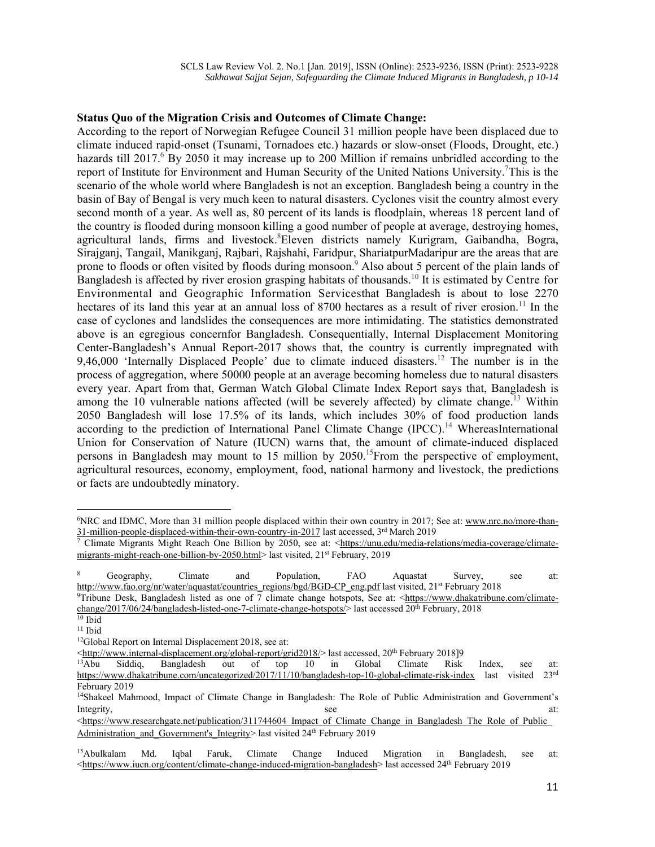### **Status Quo of the Migration Crisis and Outcomes of Climate Change:**

According to the report of Norwegian Refugee Council 31 million people have been displaced due to climate induced rapid-onset (Tsunami, Tornadoes etc.) hazards or slow-onset (Floods, Drought, etc.) hazards till 2017. By 2050 it may increase up to 200 Million if remains unbridled according to the report of Institute for Environment and Human Security of the United Nations University.<sup>7</sup>This is the scenario of the whole world where Bangladesh is not an exception. Bangladesh being a country in the basin of Bay of Bengal is very much keen to natural disasters. Cyclones visit the country almost every second month of a year. As well as, 80 percent of its lands is floodplain, whereas 18 percent land of the country is flooded during monsoon killing a good number of people at average, destroying homes, agricultural lands, firms and livestock. Eleven districts namely Kurigram, Gaibandha, Bogra, Sirajganj, Tangail, Manikganj, Rajbari, Rajshahi, Faridpur, ShariatpurMadaripur are the areas that are prone to floods or often visited by floods during monsoon.<sup>9</sup> Also about 5 percent of the plain lands of Bangladesh is affected by river erosion grasping habitats of thousands.<sup>10</sup> It is estimated by Centre for Environmental and Geographic Information Servicesthat Bangladesh is about to lose 2270 hectares of its land this year at an annual loss of 8700 hectares as a result of river erosion.<sup>11</sup> In the case of cyclones and landslides the consequences are more intimidating. The statistics demonstrated above is an egregious concernfor Bangladesh. Consequentially, Internal Displacement Monitoring Center-Bangladesh's Annual Report-2017 shows that, the country is currently impregnated with 9,46,000 'Internally Displaced People' due to climate induced disasters.<sup>12</sup> The number is in the process of aggregation, where 50000 people at an average becoming homeless due to natural disasters every year. Apart from that, German Watch Global Climate Index Report says that, Bangladesh is among the 10 vulnerable nations affected (will be severely affected) by climate change.<sup>13</sup> Within 2050 Bangladesh will lose 17.5% of its lands, which includes 30% of food production lands according to the prediction of International Panel Climate Change (IPCC).<sup>14</sup> WhereasInternational Union for Conservation of Nature (IUCN) warns that, the amount of climate-induced displaced persons in Bangladesh may mount to 15 million by  $2050$ .<sup>15</sup>From the perspective of employment, agricultural resources, economy, employment, food, national harmony and livestock, the predictions or facts are undoubtedly minatory.

<sup>6</sup>NRC and IDMC, More than 31 million people displaced within their own country in 2017; See at: www.nrc.no/more-than-31-million-people-displaced-within-their-own-country-in-2017 last accessed, 3<sup>rd</sup> March 2019<br><sup>7</sup> Climate Migrants Might Reach One Billion by 2050, see at: <https://unu.edu/media-relations/media-coverage/climate-

migrants-might-reach-one-billion-by-2050.html> last visited, 21<sup>st</sup> February, 2019

<sup>8</sup> Geography, Climate and Population, FAO Aquastat Survey, see at: http://www.fao.org/nr/water/aquastat/countries\_regions/bgd/BGD-CP\_eng.pdf last visited, 21<sup>st</sup> February 2018 9Tribune Desk, Bangladesh listed as one of 7 climate change hotspots, See at: <https://www.dhakatribune.com/clima

change/2017/06/24/bangladesh-listed-one-7-climate-change-hotspots/> last accessed  $20^{th}$  February, 2018<br><sup>10</sup> Ibid

<sup>11</sup> Ibid

<sup>&</sup>lt;sup>12</sup>Global Report on Internal Displacement 2018, see at:

 $\frac{\text{4}}{\text{4}}$   $\frac{\text{4}}{\text{4}}$   $\frac{\text{4}}{\text{4}}$   $\frac{\text{4}}{\text{4}}$   $\frac{\text{4}}{\text{4}}$   $\frac{\text{4}}{\text{4}}$   $\frac{\text{4}}{\text{4}}$   $\frac{\text{4}}{\text{4}}$   $\frac{\text{4}}{\text{4}}$   $\frac{\text{4}}{\text{4}}$   $\frac{\text{4}}{\text{4}}$   $\frac{\text{4}}{\text{4}}$   $\frac{\text{4}}{\text{4}}$   $\frac{\text{4}}{\text{4}}$   $\frac{\text{4}}{\text{$ https://www.dhakatribune.com/uncategorized/2017/11/10/bangladesh-top-10-global-climate-risk-index last visited 23rd February 2019

<sup>14</sup>Shakeel Mahmood, Impact of Climate Change in Bangladesh: The Role of Public Administration and Government's Integrity, see at:

 $\leq$ https://www.researchgate.net/publication/311744604 Impact of Climate Change in Bangladesh The Role of Public Administration and Government's Integrity> last visited 24<sup>th</sup> February 2019

<sup>&</sup>lt;sup>15</sup>Abulkalam Md. Iqbal Faruk, Climate Change Induced Migration in Bangladesh, see at: <https://www.iucn.org/content/climate-change-induced-migration-bangladesh> last accessed 24<sup>th</sup> February 2019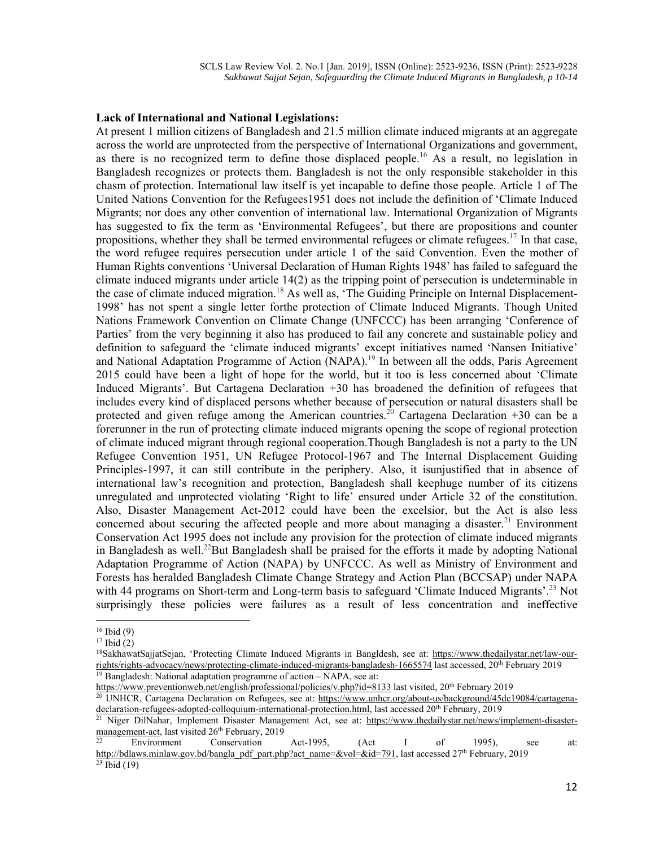### **Lack of International and National Legislations:**

At present 1 million citizens of Bangladesh and 21.5 million climate induced migrants at an aggregate across the world are unprotected from the perspective of International Organizations and government, as there is no recognized term to define those displaced people.<sup>16</sup> As a result, no legislation in Bangladesh recognizes or protects them. Bangladesh is not the only responsible stakeholder in this chasm of protection. International law itself is yet incapable to define those people. Article 1 of The United Nations Convention for the Refugees1951 does not include the definition of 'Climate Induced Migrants; nor does any other convention of international law. International Organization of Migrants has suggested to fix the term as 'Environmental Refugees', but there are propositions and counter propositions, whether they shall be termed environmental refugees or climate refugees.<sup>17</sup> In that case, the word refugee requires persecution under article 1 of the said Convention. Even the mother of Human Rights conventions 'Universal Declaration of Human Rights 1948' has failed to safeguard the climate induced migrants under article 14(2) as the tripping point of persecution is undeterminable in the case of climate induced migration.<sup>18</sup> As well as, 'The Guiding Principle on Internal Displacement-1998' has not spent a single letter forthe protection of Climate Induced Migrants. Though United Nations Framework Convention on Climate Change (UNFCCC) has been arranging 'Conference of Parties' from the very beginning it also has produced to fail any concrete and sustainable policy and definition to safeguard the 'climate induced migrants' except initiatives named 'Nansen Initiative' and National Adaptation Programme of Action (NAPA).<sup>19</sup> In between all the odds, Paris Agreement 2015 could have been a light of hope for the world, but it too is less concerned about 'Climate Induced Migrants'. But Cartagena Declaration +30 has broadened the definition of refugees that includes every kind of displaced persons whether because of persecution or natural disasters shall be protected and given refuge among the American countries.<sup>20</sup> Cartagena Declaration +30 can be a forerunner in the run of protecting climate induced migrants opening the scope of regional protection of climate induced migrant through regional cooperation.Though Bangladesh is not a party to the UN Refugee Convention 1951, UN Refugee Protocol-1967 and The Internal Displacement Guiding Principles-1997, it can still contribute in the periphery. Also, it isunjustified that in absence of international law's recognition and protection, Bangladesh shall keephuge number of its citizens unregulated and unprotected violating 'Right to life' ensured under Article 32 of the constitution. Also, Disaster Management Act-2012 could have been the excelsior, but the Act is also less concerned about securing the affected people and more about managing a disaster.<sup>21</sup> Environment Conservation Act 1995 does not include any provision for the protection of climate induced migrants in Bangladesh as well.<sup>22</sup>But Bangladesh shall be praised for the efforts it made by adopting National Adaptation Programme of Action (NAPA) by UNFCCC. As well as Ministry of Environment and Forests has heralded Bangladesh Climate Change Strategy and Action Plan (BCCSAP) under NAPA with 44 programs on Short-term and Long-term basis to safeguard 'Climate Induced Migrants'.<sup>23</sup> Not surprisingly these policies were failures as a result of less concentration and ineffective

 $16$  Ibid (9)

 $17$  Ibid (2)

<sup>&</sup>lt;sup>18</sup>SakhawatSajjatSejan, 'Protecting Climate Induced Migrants in Bangldesh, see at: https://www.thedailystar.net/law-ourrights/rights-advocacy/news/protecting-climate-induced-migrants-bangladesh-1665574 last accessed, 20<sup>th</sup> February 2019<br><sup>19</sup> Bangladesh: National adaptation programme of action – NAPA, see at:<br>https://www.preventionweb.net

<sup>&</sup>lt;sup>20</sup> UNHCR, Cartagena Declaration on Refugees, see at: https://www.unhcr.org/about-us/background/45dc19084/cartagenadeclaration-refugees-adopted-colloquium-international-protection.html, last accessed 20<sup>th</sup> February, 2019<br><sup>21</sup> Niger DilNahar, Implement Disaster Management Act, see at: https://www.thedailystar.net/news/implement-disaste

management-act, last visited 26<sup>th</sup> February, 2019<br><sup>22</sup> Environment Conservation Act-1995, (Act I of 1995), see at:

http://bdlaws.minlaw.gov.bd/bangla\_pdf\_part.php?act\_name=&vol=&id=791, last accessed 27<sup>th</sup> February, 2019 <sup>23</sup> Ibid (19)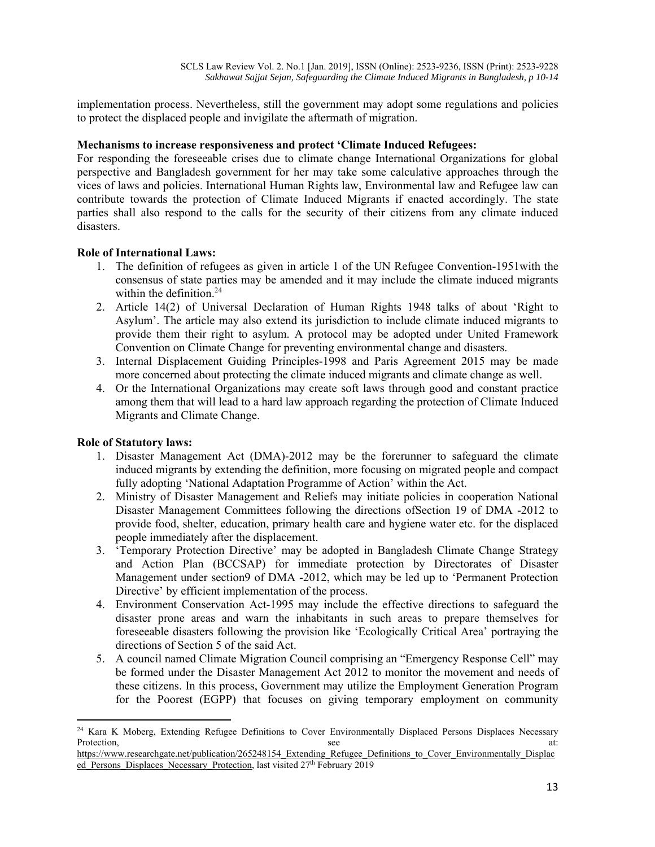implementation process. Nevertheless, still the government may adopt some regulations and policies to protect the displaced people and invigilate the aftermath of migration.

# **Mechanisms to increase responsiveness and protect 'Climate Induced Refugees:**

For responding the foreseeable crises due to climate change International Organizations for global perspective and Bangladesh government for her may take some calculative approaches through the vices of laws and policies. International Human Rights law, Environmental law and Refugee law can contribute towards the protection of Climate Induced Migrants if enacted accordingly. The state parties shall also respond to the calls for the security of their citizens from any climate induced disasters.

### **Role of International Laws:**

- 1. The definition of refugees as given in article 1 of the UN Refugee Convention-1951with the consensus of state parties may be amended and it may include the climate induced migrants within the definition. $24$
- 2. Article 14(2) of Universal Declaration of Human Rights 1948 talks of about 'Right to Asylum'. The article may also extend its jurisdiction to include climate induced migrants to provide them their right to asylum. A protocol may be adopted under United Framework Convention on Climate Change for preventing environmental change and disasters.
- 3. Internal Displacement Guiding Principles-1998 and Paris Agreement 2015 may be made more concerned about protecting the climate induced migrants and climate change as well.
- 4. Or the International Organizations may create soft laws through good and constant practice among them that will lead to a hard law approach regarding the protection of Climate Induced Migrants and Climate Change.

#### **Role of Statutory laws:**

- 1. Disaster Management Act (DMA)-2012 may be the forerunner to safeguard the climate induced migrants by extending the definition, more focusing on migrated people and compact fully adopting 'National Adaptation Programme of Action' within the Act.
- 2. Ministry of Disaster Management and Reliefs may initiate policies in cooperation National Disaster Management Committees following the directions ofSection 19 of DMA -2012 to provide food, shelter, education, primary health care and hygiene water etc. for the displaced people immediately after the displacement.
- 3. 'Temporary Protection Directive' may be adopted in Bangladesh Climate Change Strategy and Action Plan (BCCSAP) for immediate protection by Directorates of Disaster Management under section9 of DMA -2012, which may be led up to 'Permanent Protection Directive' by efficient implementation of the process.
- 4. Environment Conservation Act-1995 may include the effective directions to safeguard the disaster prone areas and warn the inhabitants in such areas to prepare themselves for foreseeable disasters following the provision like 'Ecologically Critical Area' portraying the directions of Section 5 of the said Act.
- 5. A council named Climate Migration Council comprising an "Emergency Response Cell" may be formed under the Disaster Management Act 2012 to monitor the movement and needs of these citizens. In this process, Government may utilize the Employment Generation Program for the Poorest (EGPP) that focuses on giving temporary employment on community

<sup>&</sup>lt;sup>24</sup> Kara K Moberg, Extending Refugee Definitions to Cover Environmentally Displaced Persons Displaces Necessary Protection, see at:

https://www.researchgate.net/publication/265248154 Extending Refugee Definitions to Cover Environmentally Displac ed\_Persons\_Displaces\_Necessary\_Protection, last visited 27<sup>th</sup> February 2019